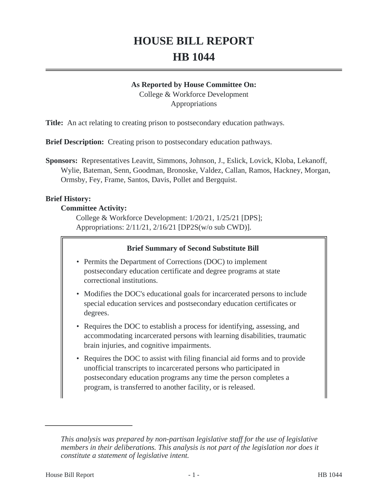# **HOUSE BILL REPORT HB 1044**

#### **As Reported by House Committee On:**

College & Workforce Development Appropriations

**Title:** An act relating to creating prison to postsecondary education pathways.

**Brief Description:** Creating prison to postsecondary education pathways.

**Sponsors:** Representatives Leavitt, Simmons, Johnson, J., Eslick, Lovick, Kloba, Lekanoff, Wylie, Bateman, Senn, Goodman, Bronoske, Valdez, Callan, Ramos, Hackney, Morgan, Ormsby, Fey, Frame, Santos, Davis, Pollet and Bergquist.

## **Brief History:**

#### **Committee Activity:**

College & Workforce Development: 1/20/21, 1/25/21 [DPS]; Appropriations: 2/11/21, 2/16/21 [DP2S(w/o sub CWD)].

## **Brief Summary of Second Substitute Bill**

- Permits the Department of Corrections (DOC) to implement postsecondary education certificate and degree programs at state correctional institutions.
- Modifies the DOC's educational goals for incarcerated persons to include special education services and postsecondary education certificates or degrees.
- Requires the DOC to establish a process for identifying, assessing, and accommodating incarcerated persons with learning disabilities, traumatic brain injuries, and cognitive impairments.
- Requires the DOC to assist with filing financial aid forms and to provide unofficial transcripts to incarcerated persons who participated in postsecondary education programs any time the person completes a program, is transferred to another facility, or is released.

*This analysis was prepared by non-partisan legislative staff for the use of legislative members in their deliberations. This analysis is not part of the legislation nor does it constitute a statement of legislative intent.*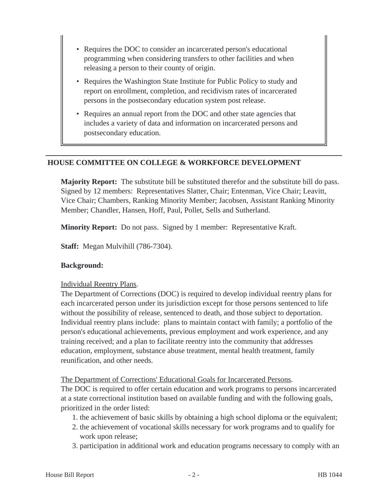- Requires the DOC to consider an incarcerated person's educational programming when considering transfers to other facilities and when releasing a person to their county of origin.
- Requires the Washington State Institute for Public Policy to study and report on enrollment, completion, and recidivism rates of incarcerated persons in the postsecondary education system post release.
- Requires an annual report from the DOC and other state agencies that includes a variety of data and information on incarcerated persons and postsecondary education.

# **HOUSE COMMITTEE ON COLLEGE & WORKFORCE DEVELOPMENT**

**Majority Report:** The substitute bill be substituted therefor and the substitute bill do pass. Signed by 12 members: Representatives Slatter, Chair; Entenman, Vice Chair; Leavitt, Vice Chair; Chambers, Ranking Minority Member; Jacobsen, Assistant Ranking Minority Member; Chandler, Hansen, Hoff, Paul, Pollet, Sells and Sutherland.

**Minority Report:** Do not pass. Signed by 1 member: Representative Kraft.

**Staff:** Megan Mulvihill (786-7304).

#### **Background:**

#### Individual Reentry Plans.

The Department of Corrections (DOC) is required to develop individual reentry plans for each incarcerated person under its jurisdiction except for those persons sentenced to life without the possibility of release, sentenced to death, and those subject to deportation. Individual reentry plans include: plans to maintain contact with family; a portfolio of the person's educational achievements, previous employment and work experience, and any training received; and a plan to facilitate reentry into the community that addresses education, employment, substance abuse treatment, mental health treatment, family reunification, and other needs.

#### The Department of Corrections' Educational Goals for Incarcerated Persons.

The DOC is required to offer certain education and work programs to persons incarcerated at a state correctional institution based on available funding and with the following goals, prioritized in the order listed:

- 1. the achievement of basic skills by obtaining a high school diploma or the equivalent;
- 2. the achievement of vocational skills necessary for work programs and to qualify for work upon release;
- 3. participation in additional work and education programs necessary to comply with an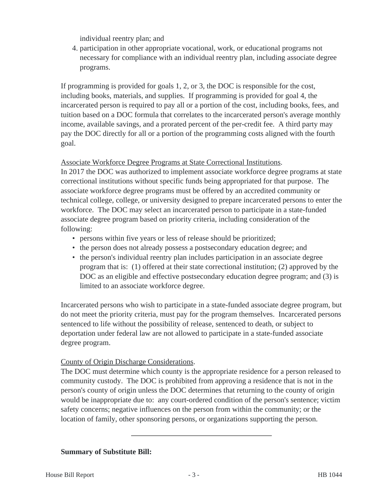individual reentry plan; and

4. participation in other appropriate vocational, work, or educational programs not necessary for compliance with an individual reentry plan, including associate degree programs.

If programming is provided for goals 1, 2, or 3, the DOC is responsible for the cost, including books, materials, and supplies. If programming is provided for goal 4, the incarcerated person is required to pay all or a portion of the cost, including books, fees, and tuition based on a DOC formula that correlates to the incarcerated person's average monthly income, available savings, and a prorated percent of the per-credit fee. A third party may pay the DOC directly for all or a portion of the programming costs aligned with the fourth goal.

# Associate Workforce Degree Programs at State Correctional Institutions.

In 2017 the DOC was authorized to implement associate workforce degree programs at state correctional institutions without specific funds being appropriated for that purpose. The associate workforce degree programs must be offered by an accredited community or technical college, college, or university designed to prepare incarcerated persons to enter the workforce. The DOC may select an incarcerated person to participate in a state-funded associate degree program based on priority criteria, including consideration of the following:

- persons within five years or less of release should be prioritized;
- the person does not already possess a postsecondary education degree; and
- the person's individual reentry plan includes participation in an associate degree program that is: (1) offered at their state correctional institution; (2) approved by the DOC as an eligible and effective postsecondary education degree program; and (3) is limited to an associate workforce degree.

Incarcerated persons who wish to participate in a state-funded associate degree program, but do not meet the priority criteria, must pay for the program themselves. Incarcerated persons sentenced to life without the possibility of release, sentenced to death, or subject to deportation under federal law are not allowed to participate in a state-funded associate degree program.

## County of Origin Discharge Considerations.

The DOC must determine which county is the appropriate residence for a person released to community custody. The DOC is prohibited from approving a residence that is not in the person's county of origin unless the DOC determines that returning to the county of origin would be inappropriate due to: any court-ordered condition of the person's sentence; victim safety concerns; negative influences on the person from within the community; or the location of family, other sponsoring persons, or organizations supporting the person.

## **Summary of Substitute Bill:**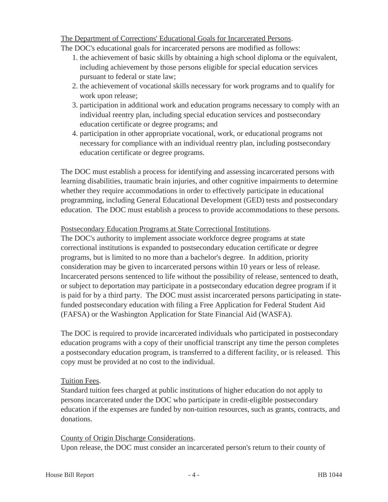The Department of Corrections' Educational Goals for Incarcerated Persons.

The DOC's educational goals for incarcerated persons are modified as follows:

- 1. the achievement of basic skills by obtaining a high school diploma or the equivalent, including achievement by those persons eligible for special education services pursuant to federal or state law;
- 2. the achievement of vocational skills necessary for work programs and to qualify for work upon release;
- 3. participation in additional work and education programs necessary to comply with an individual reentry plan, including special education services and postsecondary education certificate or degree programs; and
- 4. participation in other appropriate vocational, work, or educational programs not necessary for compliance with an individual reentry plan, including postsecondary education certificate or degree programs.

The DOC must establish a process for identifying and assessing incarcerated persons with learning disabilities, traumatic brain injuries, and other cognitive impairments to determine whether they require accommodations in order to effectively participate in educational programming, including General Educational Development (GED) tests and postsecondary education. The DOC must establish a process to provide accommodations to these persons.

# Postsecondary Education Programs at State Correctional Institutions.

The DOC's authority to implement associate workforce degree programs at state correctional institutions is expanded to postsecondary education certificate or degree programs, but is limited to no more than a bachelor's degree. In addition, priority consideration may be given to incarcerated persons within 10 years or less of release. Incarcerated persons sentenced to life without the possibility of release, sentenced to death, or subject to deportation may participate in a postsecondary education degree program if it is paid for by a third party. The DOC must assist incarcerated persons participating in statefunded postsecondary education with filing a Free Application for Federal Student Aid (FAFSA) or the Washington Application for State Financial Aid (WASFA).

The DOC is required to provide incarcerated individuals who participated in postsecondary education programs with a copy of their unofficial transcript any time the person completes a postsecondary education program, is transferred to a different facility, or is released. This copy must be provided at no cost to the individual.

## Tuition Fees.

Standard tuition fees charged at public institutions of higher education do not apply to persons incarcerated under the DOC who participate in credit-eligible postsecondary education if the expenses are funded by non-tuition resources, such as grants, contracts, and donations.

County of Origin Discharge Considerations.

Upon release, the DOC must consider an incarcerated person's return to their county of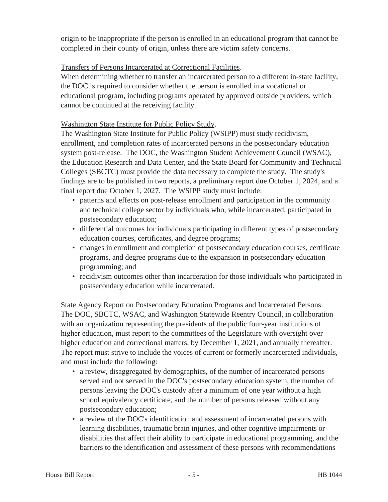origin to be inappropriate if the person is enrolled in an educational program that cannot be completed in their county of origin, unless there are victim safety concerns.

# Transfers of Persons Incarcerated at Correctional Facilities.

When determining whether to transfer an incarcerated person to a different in-state facility, the DOC is required to consider whether the person is enrolled in a vocational or educational program, including programs operated by approved outside providers, which cannot be continued at the receiving facility.

# Washington State Institute for Public Policy Study.

The Washington State Institute for Public Policy (WSIPP) must study recidivism, enrollment, and completion rates of incarcerated persons in the postsecondary education system post-release. The DOC, the Washington Student Achievement Council (WSAC), the Education Research and Data Center, and the State Board for Community and Technical Colleges (SBCTC) must provide the data necessary to complete the study. The study's findings are to be published in two reports, a preliminary report due October 1, 2024, and a final report due October 1, 2027. The WSIPP study must include:

- patterns and effects on post-release enrollment and participation in the community and technical college sector by individuals who, while incarcerated, participated in postsecondary education;
- differential outcomes for individuals participating in different types of postsecondary education courses, certificates, and degree programs;
- changes in enrollment and completion of postsecondary education courses, certificate programs, and degree programs due to the expansion in postsecondary education programming; and
- recidivism outcomes other than incarceration for those individuals who participated in postsecondary education while incarcerated.

State Agency Report on Postsecondary Education Programs and Incarcerated Persons. The DOC, SBCTC, WSAC, and Washington Statewide Reentry Council, in collaboration with an organization representing the presidents of the public four-year institutions of higher education, must report to the committees of the Legislature with oversight over higher education and correctional matters, by December 1, 2021, and annually thereafter. The report must strive to include the voices of current or formerly incarcerated individuals, and must include the following:

- a review, disaggregated by demographics, of the number of incarcerated persons served and not served in the DOC's postsecondary education system, the number of persons leaving the DOC's custody after a minimum of one year without a high school equivalency certificate, and the number of persons released without any postsecondary education;
- a review of the DOC's identification and assessment of incarcerated persons with learning disabilities, traumatic brain injuries, and other cognitive impairments or disabilities that affect their ability to participate in educational programming, and the barriers to the identification and assessment of these persons with recommendations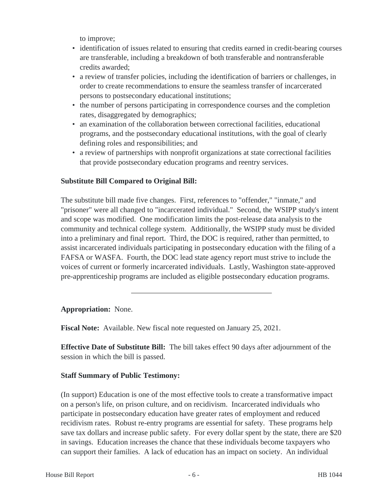to improve;

- identification of issues related to ensuring that credits earned in credit-bearing courses are transferable, including a breakdown of both transferable and nontransferable credits awarded;
- a review of transfer policies, including the identification of barriers or challenges, in order to create recommendations to ensure the seamless transfer of incarcerated persons to postsecondary educational institutions;
- the number of persons participating in correspondence courses and the completion rates, disaggregated by demographics;
- an examination of the collaboration between correctional facilities, educational programs, and the postsecondary educational institutions, with the goal of clearly defining roles and responsibilities; and
- a review of partnerships with nonprofit organizations at state correctional facilities that provide postsecondary education programs and reentry services.

# **Substitute Bill Compared to Original Bill:**

The substitute bill made five changes. First, references to "offender," "inmate," and "prisoner" were all changed to "incarcerated individual." Second, the WSIPP study's intent and scope was modified. One modification limits the post-release data analysis to the community and technical college system. Additionally, the WSIPP study must be divided into a preliminary and final report. Third, the DOC is required, rather than permitted, to assist incarcerated individuals participating in postsecondary education with the filing of a FAFSA or WASFA. Fourth, the DOC lead state agency report must strive to include the voices of current or formerly incarcerated individuals. Lastly, Washington state-approved pre-apprenticeship programs are included as eligible postsecondary education programs.

## **Appropriation:** None.

**Fiscal Note:** Available. New fiscal note requested on January 25, 2021.

**Effective Date of Substitute Bill:** The bill takes effect 90 days after adjournment of the session in which the bill is passed.

## **Staff Summary of Public Testimony:**

(In support) Education is one of the most effective tools to create a transformative impact on a person's life, on prison culture, and on recidivism. Incarcerated individuals who participate in postsecondary education have greater rates of employment and reduced recidivism rates. Robust re-entry programs are essential for safety. These programs help save tax dollars and increase public safety. For every dollar spent by the state, there are \$20 in savings. Education increases the chance that these individuals become taxpayers who can support their families. A lack of education has an impact on society. An individual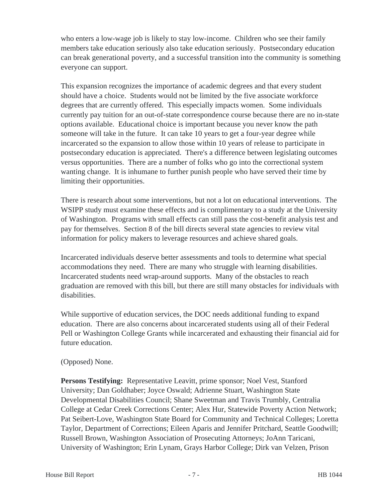who enters a low-wage job is likely to stay low-income. Children who see their family members take education seriously also take education seriously. Postsecondary education can break generational poverty, and a successful transition into the community is something everyone can support.

This expansion recognizes the importance of academic degrees and that every student should have a choice. Students would not be limited by the five associate workforce degrees that are currently offered. This especially impacts women. Some individuals currently pay tuition for an out-of-state correspondence course because there are no in-state options available. Educational choice is important because you never know the path someone will take in the future. It can take 10 years to get a four-year degree while incarcerated so the expansion to allow those within 10 years of release to participate in postsecondary education is appreciated. There's a difference between legislating outcomes versus opportunities. There are a number of folks who go into the correctional system wanting change. It is inhumane to further punish people who have served their time by limiting their opportunities.

There is research about some interventions, but not a lot on educational interventions. The WSIPP study must examine these effects and is complimentary to a study at the University of Washington. Programs with small effects can still pass the cost-benefit analysis test and pay for themselves. Section 8 of the bill directs several state agencies to review vital information for policy makers to leverage resources and achieve shared goals.

Incarcerated individuals deserve better assessments and tools to determine what special accommodations they need. There are many who struggle with learning disabilities. Incarcerated students need wrap-around supports. Many of the obstacles to reach graduation are removed with this bill, but there are still many obstacles for individuals with disabilities.

While supportive of education services, the DOC needs additional funding to expand education. There are also concerns about incarcerated students using all of their Federal Pell or Washington College Grants while incarcerated and exhausting their financial aid for future education.

## (Opposed) None.

**Persons Testifying:** Representative Leavitt, prime sponsor; Noel Vest, Stanford University; Dan Goldhaber; Joyce Oswald; Adrienne Stuart, Washington State Developmental Disabilities Council; Shane Sweetman and Travis Trumbly, Centralia College at Cedar Creek Corrections Center; Alex Hur, Statewide Poverty Action Network; Pat Seibert-Love, Washington State Board for Community and Technical Colleges; Loretta Taylor, Department of Corrections; Eileen Aparis and Jennifer Pritchard, Seattle Goodwill; Russell Brown, Washington Association of Prosecuting Attorneys; JoAnn Taricani, University of Washington; Erin Lynam, Grays Harbor College; Dirk van Velzen, Prison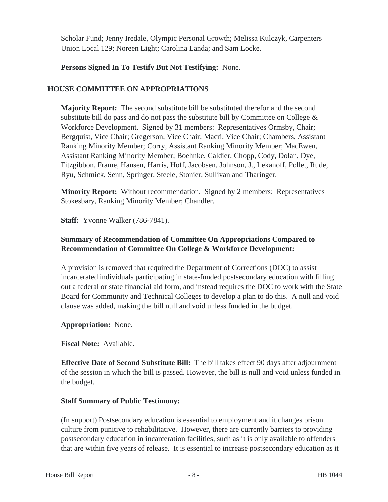Scholar Fund; Jenny Iredale, Olympic Personal Growth; Melissa Kulczyk, Carpenters Union Local 129; Noreen Light; Carolina Landa; and Sam Locke.

## **Persons Signed In To Testify But Not Testifying:** None.

## **HOUSE COMMITTEE ON APPROPRIATIONS**

**Majority Report:** The second substitute bill be substituted therefor and the second substitute bill do pass and do not pass the substitute bill by Committee on College  $\&$ Workforce Development. Signed by 31 members: Representatives Ormsby, Chair; Bergquist, Vice Chair; Gregerson, Vice Chair; Macri, Vice Chair; Chambers, Assistant Ranking Minority Member; Corry, Assistant Ranking Minority Member; MacEwen, Assistant Ranking Minority Member; Boehnke, Caldier, Chopp, Cody, Dolan, Dye, Fitzgibbon, Frame, Hansen, Harris, Hoff, Jacobsen, Johnson, J., Lekanoff, Pollet, Rude, Ryu, Schmick, Senn, Springer, Steele, Stonier, Sullivan and Tharinger.

**Minority Report:** Without recommendation. Signed by 2 members: Representatives Stokesbary, Ranking Minority Member; Chandler.

**Staff:** Yvonne Walker (786-7841).

# **Summary of Recommendation of Committee On Appropriations Compared to Recommendation of Committee On College & Workforce Development:**

A provision is removed that required the Department of Corrections (DOC) to assist incarcerated individuals participating in state-funded postsecondary education with filling out a federal or state financial aid form, and instead requires the DOC to work with the State Board for Community and Technical Colleges to develop a plan to do this. A null and void clause was added, making the bill null and void unless funded in the budget.

## **Appropriation:** None.

**Fiscal Note:** Available.

**Effective Date of Second Substitute Bill:** The bill takes effect 90 days after adjournment of the session in which the bill is passed. However, the bill is null and void unless funded in the budget.

## **Staff Summary of Public Testimony:**

(In support) Postsecondary education is essential to employment and it changes prison culture from punitive to rehabilitative. However, there are currently barriers to providing postsecondary education in incarceration facilities, such as it is only available to offenders that are within five years of release. It is essential to increase postsecondary education as it